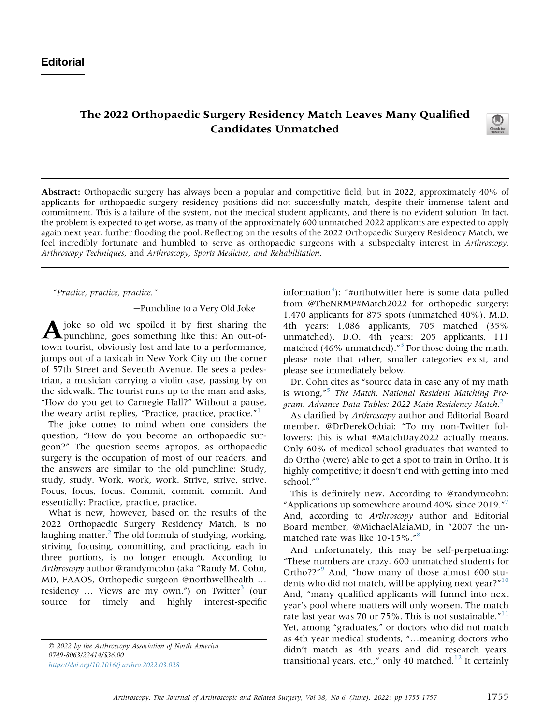## The 2022 Orthopaedic Surgery Residency Match Leaves Many Qualified Candidates Unmatched



Abstract: Orthopaedic surgery has always been a popular and competitive field, but in 2022, approximately 40% of applicants for orthopaedic surgery residency positions did not successfully match, despite their immense talent and commitment. This is a failure of the system, not the medical student applicants, and there is no evident solution. In fact, the problem is expected to get worse, as many of the approximately 600 unmatched 2022 applicants are expected to apply again next year, further flooding the pool. Reflecting on the results of the 2022 Orthopaedic Surgery Residency Match, we feel incredibly fortunate and humbled to serve as orthopaedic surgeons with a subspecialty interest in Arthroscopy, Arthroscopy Techniques, and Arthroscopy, Sports Medicine, and Rehabilitation.

"Practice, practice, practice."

-Punchline to a Very Old Joke

Ajoke so old we spoiled it by first sharing the punchline, goes something like this: An out-oftown tourist, obviously lost and late to a performance, jumps out of a taxicab in New York City on the corner of 57th Street and Seventh Avenue. He sees a pedestrian, a musician carrying a violin case, passing by on the sidewalk. The tourist runs up to the man and asks, "How do you get to Carnegie Hall?" Without a pause, the weary artist replies, "Practice, practice, practice."<sup>[1](#page-2-0)</sup>

The joke comes to mind when one considers the question, "How do you become an orthopaedic surgeon?" The question seems apropos, as orthopaedic surgery is the occupation of most of our readers, and the answers are similar to the old punchline: Study, study, study. Work, work, work. Strive, strive, strive. Focus, focus, focus. Commit, commit, commit. And essentially: Practice, practice, practice.

What is new, however, based on the results of the 2022 Orthopaedic Surgery Residency Match, is no laughing matter. $^2$  The old formula of studying, working, striving, focusing, committing, and practicing, each in three portions, is no longer enough. According to Arthroscopy author @randymcohn (aka "Randy M. Cohn, MD, FAAOS, Orthopedic surgeon @northwellhealth . residency ... Views are my own.") on Twitter<sup>[3](#page-2-2)</sup> (our source for timely and highly interest-specific

 2022 by the Arthroscopy Association of North America 0749-8063/22414/\$36.00 <https://doi.org/10.1016/j.arthro.2022.03.028>

information $4$ ): "#orthotwitter here is some data pulled from @TheNRMP#Match2022 for orthopedic surgery: 1,470 applicants for 875 spots (unmatched 40%). M.D. 4th years: 1,086 applicants, 705 matched (35% unmatched). D.O. 4th years: 205 applicants, 111 matched (46% unmatched)." [3](#page-2-2) For those doing the math, please note that other, smaller categories exist, and please see immediately below.

Dr. Cohn cites as "source data in case any of my math is wrong," [5](#page-2-4) The Match. National Resident Matching Pro-gram. Advance Data Tables: [2](#page-2-1)022 Main Residency Match.<sup>2</sup>

As clarified by Arthroscopy author and Editorial Board member, @DrDerekOchiai: "To my non-Twitter followers: this is what #MatchDay2022 actually means. Only 60% of medical school graduates that wanted to do Ortho (were) able to get a spot to train in Ortho. It is highly competitive; it doesn't end with getting into med school." [6](#page-2-5)

This is definitely new. According to @randymcohn: "Applications up somewhere around 40% since 2019." [7](#page-2-6) And, according to Arthroscopy author and Editorial Board member, @MichaelAlaiaMD, in "2007 the un-matched rate was like 10-15%."<sup>[8](#page-2-7)</sup>

And unfortunately, this may be self-perpetuating: "These numbers are crazy. 600 unmatched students for Ortho??"<sup>[9](#page-2-8)</sup> And, "how many of those almost 600 stu-dents who did not match, will be applying next year?"<sup>[10](#page-2-9)</sup> And, "many qualified applicants will funnel into next year's pool where matters will only worsen. The match rate last year was 70 or 75%. This is not sustainable." $11$ Yet, among "graduates," or doctors who did not match as 4th year medical students, "...meaning doctors who didn't match as 4th years and did research years, transitional years, etc.," only 40 matched. $^{12}$  $^{12}$  $^{12}$  It certainly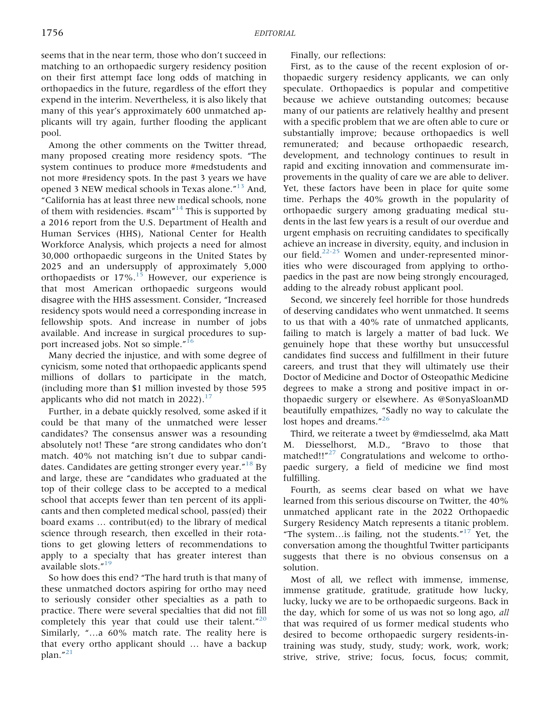seems that in the near term, those who don't succeed in matching to an orthopaedic surgery residency position on their first attempt face long odds of matching in orthopaedics in the future, regardless of the effort they expend in the interim. Nevertheless, it is also likely that many of this year's approximately 600 unmatched applicants will try again, further flooding the applicant pool.

Among the other comments on the Twitter thread, many proposed creating more residency spots. "The system continues to produce more #medstudents and not more #residency spots. In the past 3 years we have opened 3 NEW medical schools in Texas alone." [13](#page-2-12) And, "California has at least three new medical schools, none of them with residencies. #scam"<sup>[14](#page-2-13)</sup> This is supported by a 2016 report from the U.S. Department of Health and Human Services (HHS), National Center for Health Workforce Analysis, which projects a need for almost 30,000 orthopaedic surgeons in the United States by 2025 and an undersupply of approximately 5,000 orthopaedists or  $17\%$ .<sup>[15](#page-2-14)</sup> However, our experience is that most American orthopaedic surgeons would disagree with the HHS assessment. Consider, "Increased residency spots would need a corresponding increase in fellowship spots. And increase in number of jobs available. And increase in surgical procedures to sup-port increased jobs. Not so simple."<sup>[16](#page-2-15)</sup>

Many decried the injustice, and with some degree of cynicism, some noted that orthopaedic applicants spend millions of dollars to participate in the match, (including more than \$1 million invested by those 595 applicants who did not match in  $2022$ ).<sup>[17](#page-2-16)</sup>

Further, in a debate quickly resolved, some asked if it could be that many of the unmatched were lesser candidates? The consensus answer was a resounding absolutely not! These "are strong candidates who don't match. 40% not matching isn't due to subpar candi-dates. Candidates are getting stronger every year."<sup>[18](#page-2-17)</sup> By and large, these are "candidates who graduated at the top of their college class to be accepted to a medical school that accepts fewer than ten percent of its applicants and then completed medical school, pass(ed) their board exams  $\ldots$  contribut(ed) to the library of medical science through research, then excelled in their rotations to get glowing letters of recommendations to apply to a specialty that has greater interest than available slots." [19](#page-2-18)

So how does this end? "The hard truth is that many of these unmatched doctors aspiring for ortho may need to seriously consider other specialties as a path to practice. There were several specialties that did not fill completely this year that could use their talent."<sup>[20](#page-2-19)</sup> Similarly, "...a 60% match rate. The reality here is that every ortho applicant should ... have a backup plan." [21](#page-2-20)

Finally, our reflections:

First, as to the cause of the recent explosion of orthopaedic surgery residency applicants, we can only speculate. Orthopaedics is popular and competitive because we achieve outstanding outcomes; because many of our patients are relatively healthy and present with a specific problem that we are often able to cure or substantially improve; because orthopaedics is well remunerated; and because orthopaedic research, development, and technology continues to result in rapid and exciting innovation and commensurate improvements in the quality of care we are able to deliver. Yet, these factors have been in place for quite some time. Perhaps the 40% growth in the popularity of orthopaedic surgery among graduating medical students in the last few years is a result of our overdue and urgent emphasis on recruiting candidates to specifically achieve an increase in diversity, equity, and inclusion in our field. $22-25$  Women and under-represented minorities who were discouraged from applying to orthopaedics in the past are now being strongly encouraged, adding to the already robust applicant pool.

Second, we sincerely feel horrible for those hundreds of deserving candidates who went unmatched. It seems to us that with a 40% rate of unmatched applicants, failing to match is largely a matter of bad luck. We genuinely hope that these worthy but unsuccessful candidates find success and fulfillment in their future careers, and trust that they will ultimately use their Doctor of Medicine and Doctor of Osteopathic Medicine degrees to make a strong and positive impact in orthopaedic surgery or elsewhere. As @SonyaSloanMD beautifully empathizes, "Sadly no way to calculate the lost hopes and dreams."<sup>[26](#page-2-22)</sup>

Third, we reiterate a tweet by @mdiesselmd, aka Matt M. Diesselhorst, M.D., "Bravo to those that matched!!"<sup>[27](#page-2-23)</sup> Congratulations and welcome to orthopaedic surgery, a field of medicine we find most fulfilling.

Fourth, as seems clear based on what we have learned from this serious discourse on Twitter, the 40% unmatched applicant rate in the 2022 Orthopaedic Surgery Residency Match represents a titanic problem. "The system...is failing, not the students." $17$  Yet, the conversation among the thoughtful Twitter participants suggests that there is no obvious consensus on a solution.

Most of all, we reflect with immense, immense, immense gratitude, gratitude, gratitude how lucky, lucky, lucky we are to be orthopaedic surgeons. Back in the day, which for some of us was not so long ago, all that was required of us former medical students who desired to become orthopaedic surgery residents-intraining was study, study, study; work, work, work; strive, strive, strive; focus, focus, focus; commit,